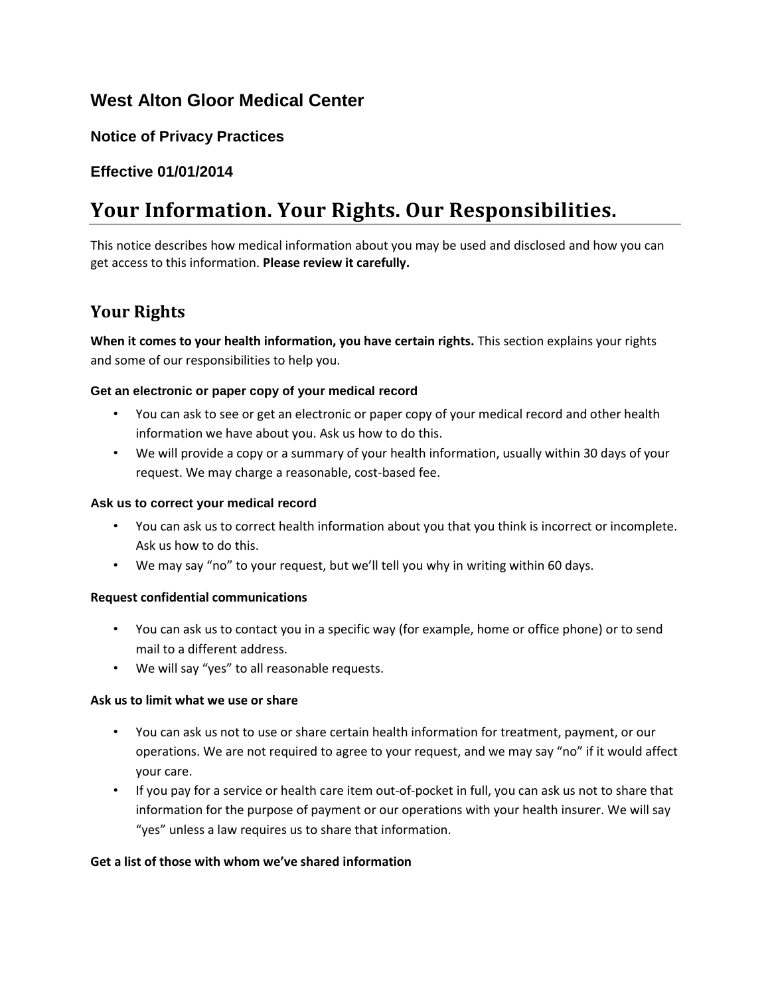# **West Alton Gloor Medical Center**

### **Notice of Privacy Practices**

### **Effective 01/01/2014**

# **Your Information. Your Rights. Our Responsibilities.**

This notice describes how medical information about you may be used and disclosed and how you can get access to this information. **Please review it carefully.**

# **Your Rights**

**When it comes to your health information, you have certain rights.** This section explains your rights and some of our responsibilities to help you.

### **Get an electronic or paper copy of your medical record**

- You can ask to see or get an electronic or paper copy of your medical record and other health information we have about you. Ask us how to do this.
- We will provide a copy or a summary of your health information, usually within 30 days of your request. We may charge a reasonable, cost-based fee.

### **Ask us to correct your medical record**

- You can ask us to correct health information about you that you think is incorrect or incomplete. Ask us how to do this.
- We may say "no" to your request, but we'll tell you why in writing within 60 days.

### **Request confidential communications**

- You can ask us to contact you in a specific way (for example, home or office phone) or to send mail to a different address.
- We will say "yes" to all reasonable requests.

### **Ask us to limit what we use or share**

- You can ask us not to use or share certain health information for treatment, payment, or our operations. We are not required to agree to your request, and we may say "no" if it would affect your care.
- If you pay for a service or health care item out-of-pocket in full, you can ask us not to share that information for the purpose of payment or our operations with your health insurer. We will say "yes" unless a law requires us to share that information.

### **Get a list of those with whom we've shared information**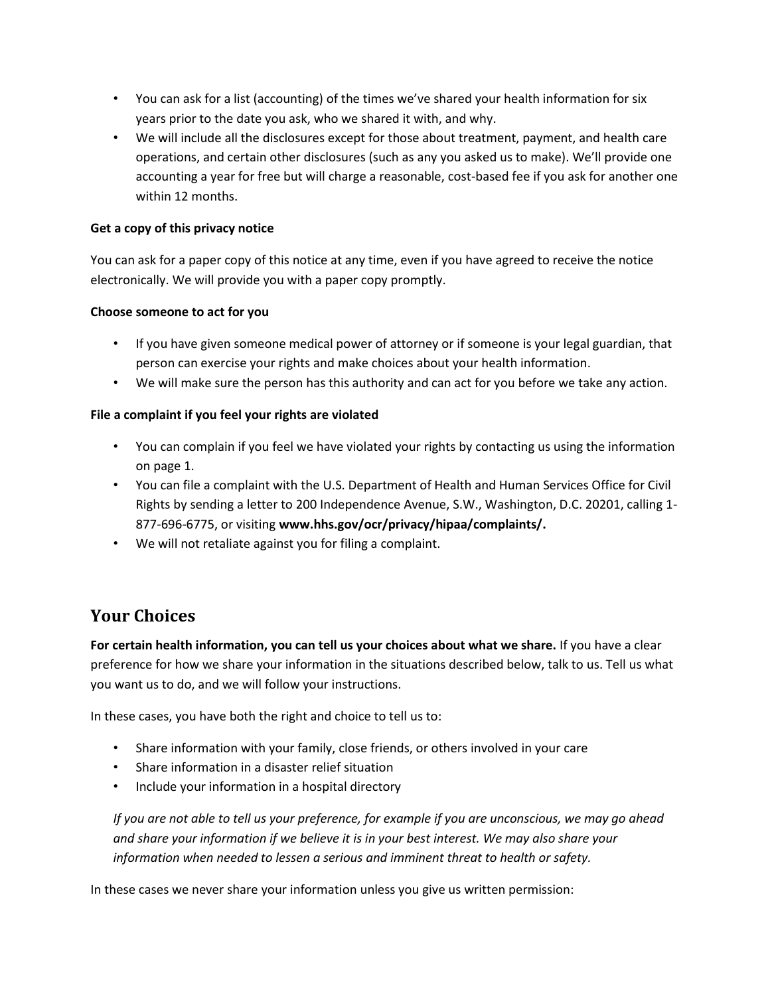- You can ask for a list (accounting) of the times we've shared your health information for six years prior to the date you ask, who we shared it with, and why.
- We will include all the disclosures except for those about treatment, payment, and health care operations, and certain other disclosures (such as any you asked us to make). We'll provide one accounting a year for free but will charge a reasonable, cost-based fee if you ask for another one within 12 months.

### **Get a copy of this privacy notice**

You can ask for a paper copy of this notice at any time, even if you have agreed to receive the notice electronically. We will provide you with a paper copy promptly.

### **Choose someone to act for you**

- If you have given someone medical power of attorney or if someone is your legal guardian, that person can exercise your rights and make choices about your health information.
- We will make sure the person has this authority and can act for you before we take any action.

### **File a complaint if you feel your rights are violated**

- You can complain if you feel we have violated your rights by contacting us using the information on page 1.
- You can file a complaint with the U.S. Department of Health and Human Services Office for Civil Rights by sending a letter to 200 Independence Avenue, S.W., Washington, D.C. 20201, calling 1- 877-696-6775, or visiting **www.hhs.gov/ocr/privacy/hipaa/complaints/.**
- We will not retaliate against you for filing a complaint.

### **Your Choices**

**For certain health information, you can tell us your choices about what we share.** If you have a clear preference for how we share your information in the situations described below, talk to us. Tell us what you want us to do, and we will follow your instructions.

In these cases, you have both the right and choice to tell us to:

- Share information with your family, close friends, or others involved in your care
- Share information in a disaster relief situation
- Include your information in a hospital directory

*If you are not able to tell us your preference, for example if you are unconscious, we may go ahead and share your information if we believe it is in your best interest. We may also share your information when needed to lessen a serious and imminent threat to health or safety.*

In these cases we never share your information unless you give us written permission: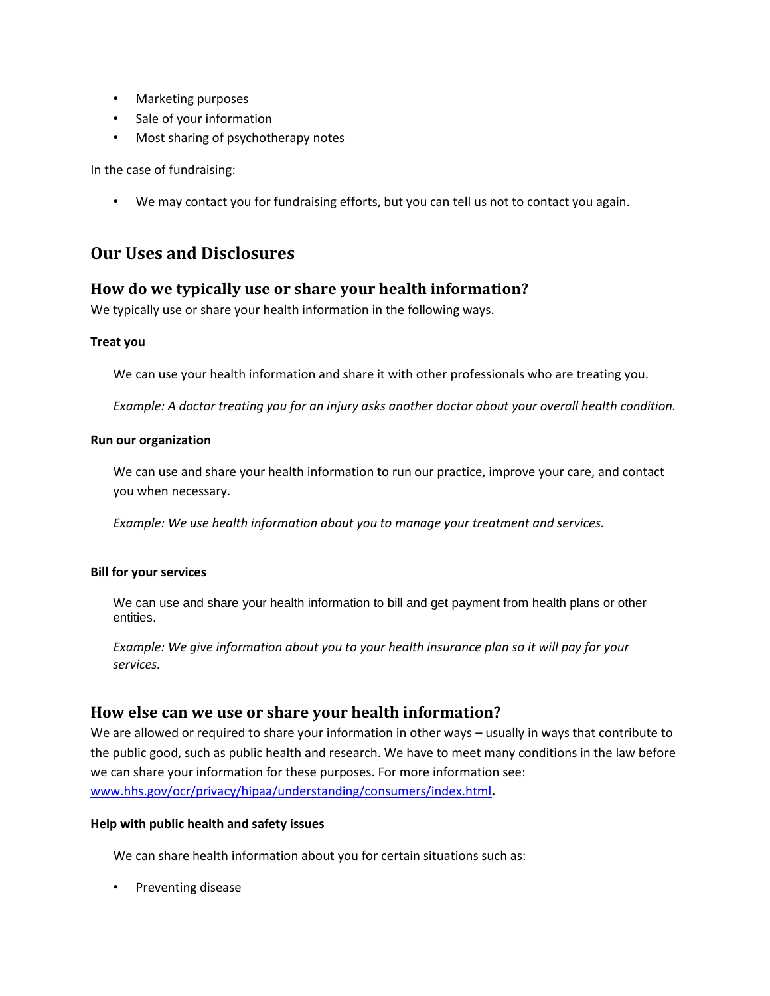- Marketing purposes
- Sale of your information
- Most sharing of psychotherapy notes

In the case of fundraising:

• We may contact you for fundraising efforts, but you can tell us not to contact you again.

# **Our Uses and Disclosures**

### **How do we typically use or share your health information?**

We typically use or share your health information in the following ways.

### **Treat you**

We can use your health information and share it with other professionals who are treating you.

*Example: A doctor treating you for an injury asks another doctor about your overall health condition.*

### **Run our organization**

We can use and share your health information to run our practice, improve your care, and contact you when necessary.

*Example: We use health information about you to manage your treatment and services.* 

### **Bill for your services**

We can use and share your health information to bill and get payment from health plans or other entities.

*Example: We give information about you to your health insurance plan so it will pay for your services.* 

### **How else can we use or share your health information?**

We are allowed or required to share your information in other ways – usually in ways that contribute to the public good, such as public health and research. We have to meet many conditions in the law before we can share your information for these purposes. For more information see: [www.hhs.gov/ocr/privacy/hipaa/understanding/consumers/index.html](http://www.hhs.gov/ocr/privacy/hipaa/understanding/consumers/index.html)**.**

### **Help with public health and safety issues**

We can share health information about you for certain situations such as:

• Preventing disease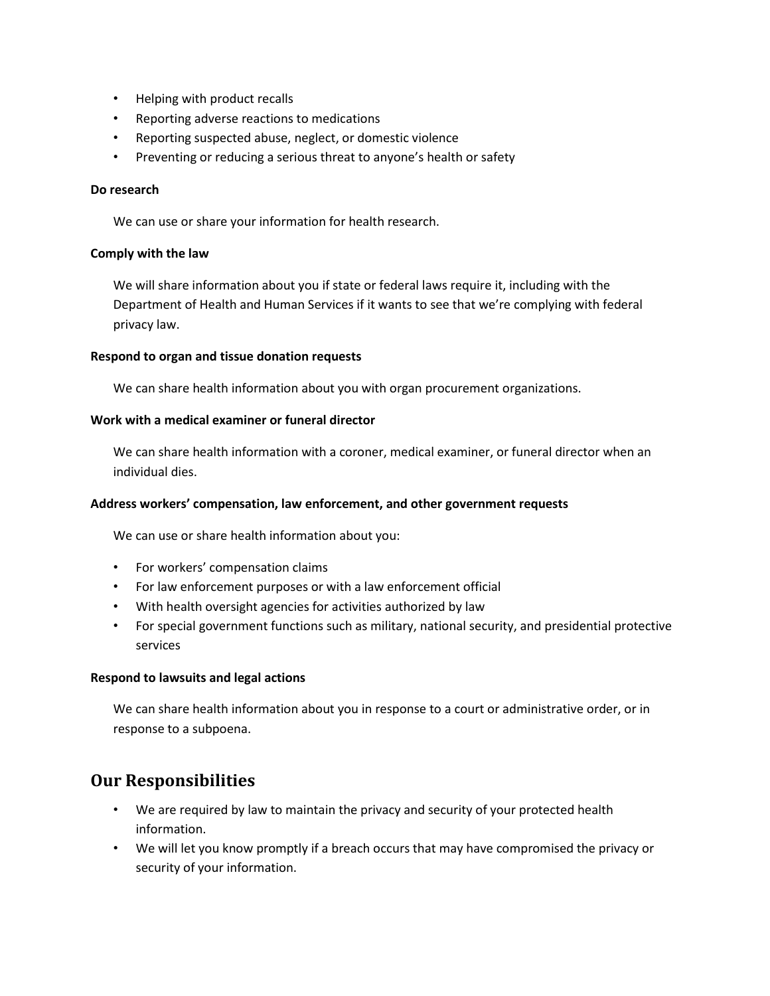- Helping with product recalls
- Reporting adverse reactions to medications
- Reporting suspected abuse, neglect, or domestic violence
- Preventing or reducing a serious threat to anyone's health or safety

#### **Do research**

We can use or share your information for health research.

### **Comply with the law**

We will share information about you if state or federal laws require it, including with the Department of Health and Human Services if it wants to see that we're complying with federal privacy law.

#### **Respond to organ and tissue donation requests**

We can share health information about you with organ procurement organizations.

#### **Work with a medical examiner or funeral director**

We can share health information with a coroner, medical examiner, or funeral director when an individual dies.

#### **Address workers' compensation, law enforcement, and other government requests**

We can use or share health information about you:

- For workers' compensation claims
- For law enforcement purposes or with a law enforcement official
- With health oversight agencies for activities authorized by law
- For special government functions such as military, national security, and presidential protective services

### **Respond to lawsuits and legal actions**

We can share health information about you in response to a court or administrative order, or in response to a subpoena.

### **Our Responsibilities**

- We are required by law to maintain the privacy and security of your protected health information.
- We will let you know promptly if a breach occurs that may have compromised the privacy or security of your information.